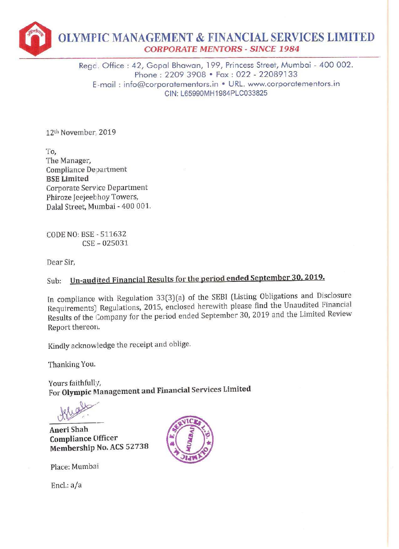

Rego. Office : 42, Gopal Bhawan, 199, Princess Street, Mumbai - 400 002. Phone : 2209 3908 \* Fax : 022 - 22089133 E-mail : info@corporatementors.in \* URL. www.corporatementors.in CIN: L65990MH1984PLC033825

12" November, 2019

To, The Manager, Compliance Department BSE Limited Corporate Service Department Phiroze Jeejeebhoy Towers, Dalal Street, Mumbai - 400 001.

CODE NO: BSE - 511632 CSE - 025031

Dear Sir,

## Sub: Un-audited Financial Results for the period ended September 30, 2019.

In compliance with Regulation 33(3){a) of the SEBI (Listing Obligations and Disclosure Requirements} Regulations, 2015, enclosed herewith please find the Unaudited Financial Results of the Company for the period ended September 30, 2019 and the Limited Review Report thereon.

Kindly acknowledge the receipt and oblige.

Thanking You.

Yours faithfully, For Olympic Management and Financial Services Limited

Aneri Shah ~ Compliance (Officer Membership No. ACS 52738

Place: Mumbai

Encl.: a/a

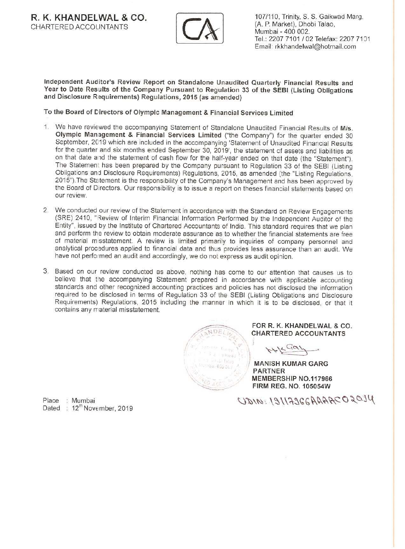

CHARTERED ACCOUNTANTS (A. P. Market), Dhobi Talao, (A. P. Market), Dhobi Talao, Tel.: 2207 7101 / 02 Telefax: 2207 7191 Email: rkkhandelwal@hotmail.com

Independent Auditor's Review Report on Standalone Unaudited Quarterly Financial Results and Year to Date Results of the Company Pursuant to Regulation 33 of the SEBI (Listing Obligations and Disclosure Requirements) Regulations, 2015 (as amended)

To the Board of Directors of Olympic Management & Financial Services Limited

- 1. We have reviewed the accompanying Statement of Standalone Unaudited Financial Results of M/s. Olympic Management & Financial Services Limited ("the Company") for the quarter ended 30 September, 2019 which are included i The Statemen: has been prepared by the Company pursuant to Regulation 33 of the SEBI (Listing Obligations and Disclosure Requirements) Regulations, 2015, as amended (the "Listing Regulations, 2015"). The Statement is the responsibility of the Company's Management and has been approved by the Board of Directors. Our responsibility is to issue a report on theses financial statements based on<br>our review.
- 2. We conducted our review of the Statement in accordance with the Standard on Review Engagements (SRE) 2410, "Review of Interim Financial Information Performed by the Independent Auditor of the Entity", issued by the Institute of Chartered Accountants of India. This standard requires that we plan and perform the review to obtain moderate assurance as to whether the financial statements are free of material misstatement. A review is limited primarily to inquiries of company personnel and analytical procedures applied to financial data and thus provides less assurance than an audit. We have not performed an audit and accordingly, we do not express as audit opinion
- 3. Based on our review conducted as above, nothing has come to our attention that causes us to believe that tie accompanying Statement prepared in accordance with applicable accounting standards and other recognized accounting practices and policies has not disclosed the information required to be disclosed in terms of Regulation 33 of the SEBI (Listing Obligations and Disclosure Requirements) Regulations, 2015 including the manner in which it is to be disclosed, or that it contains any material misstatement



FOR R. K. KHANDELWAL & CO. CHARTERED ACCOUNTANTS

 $H + \frac{C \alpha \nu}{2}$ 

MANISH KUMAR GARG PARTNER MEMBERSHIP NO.117966 FIRM REG. NO. 105054W

Dated : 12<sup>th</sup> November, 2019

Place : Mumbai CDNN: 19117966AAARC02014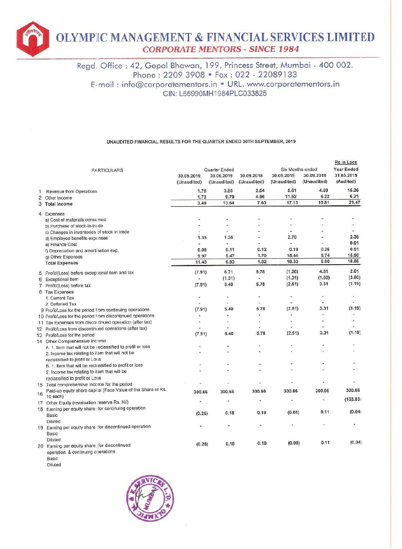

## UNAUDITED FINANCIAL RESULTS FOR THE QUARTER ENDED 30TH SEPTEMBER, 2019

| <b>OLYMPIC MANAGEMENT &amp; FINANCIAL SERVICES LIMITI</b><br><b>CORPORATE MENTORS - SINCE 1984</b> |                                                                                                                                                                                                                                                                                              |                     |                             |                     |                                |                     |                                               |  |  |  |
|----------------------------------------------------------------------------------------------------|----------------------------------------------------------------------------------------------------------------------------------------------------------------------------------------------------------------------------------------------------------------------------------------------|---------------------|-----------------------------|---------------------|--------------------------------|---------------------|-----------------------------------------------|--|--|--|
|                                                                                                    | Regd. Office: 42, Gopal Bhawan, 199, Princess Street, Mumbai - 400 002.<br>Phone: 2209 3908 • Fax: 022 - 22089133<br>E-mail: info@corporatementors.in • URL. www.corporatementors.in<br>CIN: L65990MH1984PLC033825<br>UNAUDITED FINANCIAL RESULTS FOR THE QUARTER ENDED 30TH SEPTEMBER, 2019 |                     |                             |                     |                                |                     |                                               |  |  |  |
|                                                                                                    | <b>PARTICULARS</b>                                                                                                                                                                                                                                                                           | 30.09.2019          | Quarter Ended<br>30.06.2019 | 30.09.2018          | Six Months ended<br>30.09.2019 | 30.09.2018          | Rs in Lacs<br><b>Year Ended</b><br>31.03.2019 |  |  |  |
|                                                                                                    |                                                                                                                                                                                                                                                                                              | (Unaudited)<br>1.76 | (Unaudited)<br>3.85         | (Unaudited)<br>2.64 | (Unaudited)<br>5.61            | (Unaudited)<br>4.59 | (Audited)<br>15.26                            |  |  |  |
| 1<br>2                                                                                             | Revenue from Operations<br>Other Income                                                                                                                                                                                                                                                      | 1.73                | 9.79                        | 4.96                | 11.52                          | 6.22                | 6.21                                          |  |  |  |
| 3                                                                                                  | <b>Total Income</b>                                                                                                                                                                                                                                                                          | 3.49                | 13.64                       | 7.60                | 17.13                          | 10.81               | 21.47                                         |  |  |  |
|                                                                                                    | 4 Expenses                                                                                                                                                                                                                                                                                   |                     |                             |                     |                                |                     |                                               |  |  |  |
|                                                                                                    | a) Cost of materials consumed                                                                                                                                                                                                                                                                |                     | $\blacksquare$              |                     |                                |                     | ٠                                             |  |  |  |
|                                                                                                    | b) Purchase of stock-in-trade                                                                                                                                                                                                                                                                |                     | ٠                           |                     |                                |                     |                                               |  |  |  |
|                                                                                                    | c) Changes in inventories of stock in trade                                                                                                                                                                                                                                                  |                     |                             |                     |                                |                     |                                               |  |  |  |
|                                                                                                    | d) Employee benefits expenses                                                                                                                                                                                                                                                                | 1.35                | 1.35                        |                     | 2.70                           |                     | 2.36                                          |  |  |  |
|                                                                                                    | e) Finance Cost                                                                                                                                                                                                                                                                              | $\mathbf{4}$        | àS.<br>0.11                 | 0.12                | 45<br>0.19                     | 0.26                | 0.01<br>0.51                                  |  |  |  |
|                                                                                                    | f) Depreciation and amortisation exp.                                                                                                                                                                                                                                                        | 0.08<br>9.97        | 5.47                        | 1.70                | 15.44                          | 5.74                | 15.98                                         |  |  |  |
|                                                                                                    | g) Other Expenses<br><b>Total Expenses</b>                                                                                                                                                                                                                                                   | 11.40               | 6.93                        | 1.82                | 18.33                          | 6.00                | 18.86                                         |  |  |  |
|                                                                                                    |                                                                                                                                                                                                                                                                                              |                     |                             |                     |                                |                     | 2.61                                          |  |  |  |
|                                                                                                    | 5 Profit/(Loss) before exceptional item and tax                                                                                                                                                                                                                                              | (7.91)              | 6.71                        | 5.78                | (1.20)<br>(1.31)               | 4.81<br>(1.50)      | (3.80)                                        |  |  |  |
| 6                                                                                                  | <b>Exceptional Item</b>                                                                                                                                                                                                                                                                      | $\omega$<br>(7.91)  | (1.31)<br>5.40              | 5.78                | (2.51)                         | 3.31                | (1.19)                                        |  |  |  |
| 8                                                                                                  | 7 Profit/(Loss) before tax<br><b>Tax Expenses</b>                                                                                                                                                                                                                                            |                     |                             |                     |                                |                     |                                               |  |  |  |
|                                                                                                    | 1. Current Tax                                                                                                                                                                                                                                                                               | S.                  | $\omega$                    | $\blacksquare$      | ٠                              | $\bullet$ .         | $\blacksquare$                                |  |  |  |
|                                                                                                    | 2. Deferred Tax                                                                                                                                                                                                                                                                              |                     |                             |                     |                                |                     |                                               |  |  |  |
|                                                                                                    | 9 Profit/Loss for the period from continuing operations                                                                                                                                                                                                                                      | (7.91)              | 5.40                        | 5.78                | (2.51)                         | 3.31                | (1.19)                                        |  |  |  |
|                                                                                                    | 10 Profit/Loss for the period from discontinued operations                                                                                                                                                                                                                                   |                     |                             |                     |                                |                     | $\overline{\phantom{a}}$                      |  |  |  |
|                                                                                                    | 11 Tax Expenses from discontinued operation (after tax)<br>12 Profit/Loss from discontinued operations (after tax)                                                                                                                                                                           | ÷                   |                             |                     |                                | ٠                   |                                               |  |  |  |
|                                                                                                    | 13 Profit/Loss for the period                                                                                                                                                                                                                                                                | (7.91)              | 5.40                        | 5.78                | (2.51)                         | 3.31                | (1.19)                                        |  |  |  |
|                                                                                                    | 14 Other Comprehensive Income                                                                                                                                                                                                                                                                |                     |                             |                     |                                |                     |                                               |  |  |  |
|                                                                                                    | A. 1. Item that will not be reclassified to profit or loss                                                                                                                                                                                                                                   |                     |                             |                     |                                | $\overline{a}$      |                                               |  |  |  |
|                                                                                                    | 2. Income tax relating to item that will not be                                                                                                                                                                                                                                              |                     |                             |                     |                                |                     |                                               |  |  |  |
|                                                                                                    | reclassified to profit or Loss                                                                                                                                                                                                                                                               |                     |                             |                     |                                |                     |                                               |  |  |  |
|                                                                                                    | B. 1. Item that will be reclassified to profit or loss<br>2. Income tax relating to item that will be                                                                                                                                                                                        |                     |                             |                     |                                |                     |                                               |  |  |  |
|                                                                                                    | reclassified to profit or Loss                                                                                                                                                                                                                                                               |                     |                             |                     |                                |                     |                                               |  |  |  |
|                                                                                                    | 15 Total comprehensive Income for the period                                                                                                                                                                                                                                                 |                     |                             |                     |                                |                     |                                               |  |  |  |
|                                                                                                    | Paid-up equity share capital (Face Value of the Share of Rs.                                                                                                                                                                                                                                 | 300.66              | 300.66                      | 300.66              | 300.66                         | 300.66              | 300.66                                        |  |  |  |
| 16                                                                                                 | 10 each)                                                                                                                                                                                                                                                                                     |                     |                             |                     |                                | ÷                   | (103.83)                                      |  |  |  |
|                                                                                                    | 17 Other Equity (revaluation reserve Rs. Nil)                                                                                                                                                                                                                                                |                     |                             |                     |                                |                     |                                               |  |  |  |
|                                                                                                    | 18 Earning per equity share (for continuing operation                                                                                                                                                                                                                                        | (0.26)              | 0.18                        | 0.19                | (0.08)                         | 0.11                | (0.04)                                        |  |  |  |
|                                                                                                    | Basic<br>Diluted                                                                                                                                                                                                                                                                             |                     |                             |                     |                                |                     |                                               |  |  |  |
|                                                                                                    | 19 Earning per equity share for discontinued operation                                                                                                                                                                                                                                       |                     |                             |                     |                                |                     |                                               |  |  |  |
|                                                                                                    | Basic                                                                                                                                                                                                                                                                                        |                     |                             |                     |                                |                     |                                               |  |  |  |
|                                                                                                    | Diluted                                                                                                                                                                                                                                                                                      |                     |                             |                     |                                |                     |                                               |  |  |  |
|                                                                                                    | 20 Earning per equity share (for discontinued                                                                                                                                                                                                                                                | (0.26)              | 0.18                        | 0.19                | (0.08)                         | 0.11                | (0.04)                                        |  |  |  |
|                                                                                                    | operation & continuing operations<br>Basic                                                                                                                                                                                                                                                   |                     |                             |                     |                                |                     |                                               |  |  |  |

Diluted

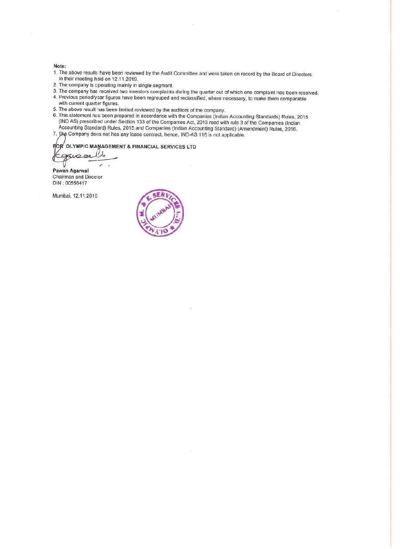- 
- 
- 
- 
- 
- Note:<br>
1. The above results have been reviewed by the Audit Committee and were taken on record by the Board of Directors<br>
in their meeting held on 12.11.2019.<br>
2. The company is cperating mainly in single segment.<br>
3. The
- 7. The Company does not has any lease contract, hence, IND-AS 116 is not applicable.

**FOR** OLYMPIC MAWAGEMENT & FINANCIAL SERVICES LTD

—\_——— = Pawan Agarwal Chairman and Direcior DIN : 00556417

Mumbai, 12.11.201¢

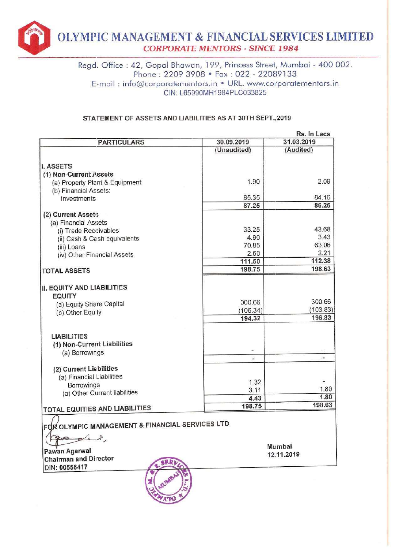

Regd. Office : 42, Gopal Bhawan, 199, Princess Street, Mumbai - 400 002. Phone : 2209 3908 ¢ Fax : 022 - 22089133 E-mail : info@corporatementors.in \* URL. www.corporatementors.in CIN: L65990MH1984PLC033825

## STATEMENT OF ASSETS AND LIABILITIES AS AT 30TH SEPT.,2019

| Phone: 2209 3908 • Fax: 022 - 22089133                         |                            |                    |  |  |  |  |  |
|----------------------------------------------------------------|----------------------------|--------------------|--|--|--|--|--|
| E-mail: info@corporatementors.in • URL. www.corporatementors.i |                            |                    |  |  |  |  |  |
|                                                                | CIN: L65990MH1984PLC033825 |                    |  |  |  |  |  |
|                                                                |                            |                    |  |  |  |  |  |
|                                                                |                            |                    |  |  |  |  |  |
| STATEMENT OF ASSETS AND LIABILITIES AS AT 30TH SEPT., 2019     |                            |                    |  |  |  |  |  |
|                                                                |                            |                    |  |  |  |  |  |
|                                                                |                            | Rs. In Lacs        |  |  |  |  |  |
| <b>PARTICULARS</b>                                             | 30.09.2019                 | 31.03.2019         |  |  |  |  |  |
|                                                                | (Unaudited)                | (Audited)          |  |  |  |  |  |
|                                                                |                            |                    |  |  |  |  |  |
| <b>I. ASSETS</b>                                               |                            |                    |  |  |  |  |  |
| (1) Non-Current Assets                                         | 1.90                       | 2.09               |  |  |  |  |  |
| (a) Property Plant & Equipment                                 |                            |                    |  |  |  |  |  |
| (b) Financial Assets:<br>Investments                           | 85.35                      | 84.16              |  |  |  |  |  |
|                                                                | 87.25                      | 86.25              |  |  |  |  |  |
| (2) Current Assets                                             |                            |                    |  |  |  |  |  |
| (a) Financial Assets                                           |                            |                    |  |  |  |  |  |
| (i) Trade Receivables                                          | 33.25                      | 43.68              |  |  |  |  |  |
| (ii) Cash & Cash equivalents                                   | 4.90                       | 3.43               |  |  |  |  |  |
| (iii) Loans                                                    | 70.85                      | 63.06              |  |  |  |  |  |
| (iv) Other Financial Assets                                    | 2.50                       | 2.21               |  |  |  |  |  |
|                                                                | 111.50                     | 112.38             |  |  |  |  |  |
| <b>TOTAL ASSETS</b>                                            | 198.75                     | 198.63             |  |  |  |  |  |
|                                                                |                            |                    |  |  |  |  |  |
| II. EQUITY AND LIABILITIES                                     |                            |                    |  |  |  |  |  |
| <b>EQUITY</b>                                                  |                            |                    |  |  |  |  |  |
| (a) Equity Share Capital                                       | 300.66                     | 300.66             |  |  |  |  |  |
| (b) Other Equity                                               | (106.34)                   | (103.83)<br>196.83 |  |  |  |  |  |
|                                                                | 194.32                     |                    |  |  |  |  |  |
| <b>LIABILITIES</b>                                             |                            |                    |  |  |  |  |  |
| (1) Non-Current Liabilities                                    |                            |                    |  |  |  |  |  |
| (a) Borrowings                                                 |                            |                    |  |  |  |  |  |
|                                                                |                            |                    |  |  |  |  |  |
| (2) Current Liabilities                                        |                            |                    |  |  |  |  |  |
| (a) Financial Liabilities                                      |                            |                    |  |  |  |  |  |
| <b>Borrowings</b>                                              | 1.32                       |                    |  |  |  |  |  |
| (a) Other Current liabilities                                  | 3.11                       | 1.80               |  |  |  |  |  |
|                                                                | 4.43                       | 1.80               |  |  |  |  |  |
| TOTAL EQUITIES AND LIABILITIES                                 | 198.75                     | 198.63             |  |  |  |  |  |
| FOR OLYMPIC MANAGEMENT & FINANCIAL SERVICES LTD                |                            |                    |  |  |  |  |  |
| L                                                              |                            |                    |  |  |  |  |  |
|                                                                |                            | Mumbai             |  |  |  |  |  |
| Pawan Agarwal                                                  |                            | 12.11.2019         |  |  |  |  |  |
| <b>Chairman and Director</b>                                   |                            |                    |  |  |  |  |  |
| DIN: 00556417                                                  |                            |                    |  |  |  |  |  |